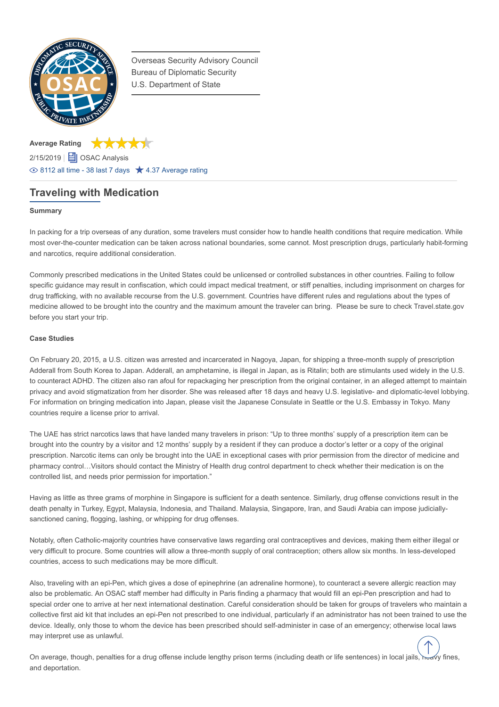

Overseas Security Advisory Council Bureau of Diplomatic Security U.S. Department of State

**Average Rating** \*\*\*\*\* 2/15/2019 | **日** OSAC Analysis  $\circledcirc$  8112 all time - 38 last 7 days  $\star$  4.37 Average rating

# **Traveling with Medication**

## **Summary**

In packing for a trip overseas of any duration, some travelers must consider how to handle health conditions that require medication. While most over-the-counter medication can be taken across national boundaries, some cannot. Most prescription drugs, particularly habit-forming and narcotics, require additional consideration.

Commonly prescribed medications in the United States could be unlicensed or controlled substances in other countries. Failing to follow specific guidance may result in confiscation, which could impact medical treatment, or stiff penalties, including imprisonment on charges for drug trafficking, with no available recourse from the U.S. government. Countries have different rules and regulations about the types of medicine allowed to be brought into the country and the maximum amount the traveler can bring. Please be sure to check Travel.state.gov before you start your trip.

## **Case Studies**

On February 20, 2015, a U.S. citizen was arrested and incarcerated in Nagoya, Japan, for shipping a three-month supply of prescription Adderall from South Korea to Japan. Adderall, an amphetamine, is illegal in Japan, as is Ritalin; both are stimulants used widely in the U.S. to counteract ADHD. The citizen also ran afoul for repackaging her prescription from the original container, in an alleged attempt to maintain privacy and avoid stigmatization from her disorder. She was released after 18 days and heavy U.S. legislative- and diplomatic-level lobbying. For information on bringing medication into Japan, please visit the Japanese Consulate in Seattle or the U.S. Embassy in Tokyo. Many countries require a license prior to arrival.

The UAE has strict narcotics laws that have landed many travelers in prison: "Up to three months' supply of a prescription item can be brought into the country by a visitor and 12 months' supply by a resident if they can produce a doctor's letter or a copy of the original prescription. Narcotic items can only be brought into the UAE in exceptional cases with prior permission from the director of medicine and pharmacy control…Visitors should contact the Ministry of Health drug control department to check whether their medication is on the controlled list, and needs prior permission for importation."

Having as little as three grams of morphine in Singapore is sufficient for a death sentence. Similarly, drug offense convictions result in the death penalty in Turkey, Egypt, Malaysia, Indonesia, and Thailand. Malaysia, Singapore, Iran, and Saudi Arabia can impose judiciallysanctioned caning, flogging, lashing, or whipping for drug offenses.

Notably, often Catholic-majority countries have conservative laws regarding oral contraceptives and devices, making them either illegal or very difficult to procure. Some countries will allow a three-month supply of oral contraception; others allow six months. In less-developed countries, access to such medications may be more difficult.

Also, traveling with an epi-Pen, which gives a dose of epinephrine (an adrenaline hormone), to counteract a severe allergic reaction may also be problematic. An OSAC staff member had difficulty in Paris finding a pharmacy that would fill an epi-Pen prescription and had to special order one to arrive at her next international destination. Careful consideration should be taken for groups of travelers who maintain a collective first aid kit that includes an epi-Pen not prescribed to one individual, particularly if an administrator has not been trained to use the device. Ideally, only those to whom the device has been prescribed should self-administer in case of an emergency; otherwise local laws may interpret use as unlawful.

On average, though, penalties for a drug offense include lengthy prison terms (including death or life sentences) in local jails, heavy fines, and deportation.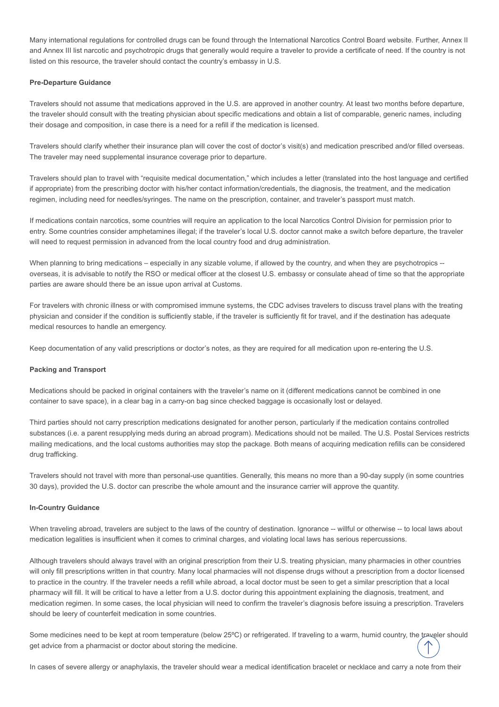Many international regulations for controlled drugs can be found through the International Narcotics Control Board website. Further, Annex II and Annex III list narcotic and psychotropic drugs that generally would require a traveler to provide a certificate of need. If the country is not listed on this resource, the traveler should contact the country's embassy in U.S.

### **Pre-Departure Guidance**

Travelers should not assume that medications approved in the U.S. are approved in another country. At least two months before departure, the traveler should consult with the treating physician about specific medications and obtain a list of comparable, generic names, including their dosage and composition, in case there is a need for a refill if the medication is licensed.

Travelers should clarify whether their insurance plan will cover the cost of doctor's visit(s) and medication prescribed and/or filled overseas. The traveler may need supplemental insurance coverage prior to departure.

Travelers should plan to travel with "requisite medical documentation," which includes a letter (translated into the host language and certified if appropriate) from the prescribing doctor with his/her contact information/credentials, the diagnosis, the treatment, and the medication regimen, including need for needles/syringes. The name on the prescription, container, and traveler's passport must match.

If medications contain narcotics, some countries will require an application to the local Narcotics Control Division for permission prior to entry. Some countries consider amphetamines illegal; if the traveler's local U.S. doctor cannot make a switch before departure, the traveler will need to request permission in advanced from the local country food and drug administration.

When planning to bring medications – especially in any sizable volume, if allowed by the country, and when they are psychotropics -overseas, it is advisable to notify the RSO or medical officer at the closest U.S. embassy or consulate ahead of time so that the appropriate parties are aware should there be an issue upon arrival at Customs.

For travelers with chronic illness or with compromised immune systems, the CDC advises travelers to discuss travel plans with the treating physician and consider if the condition is sufficiently stable, if the traveler is sufficiently fit for travel, and if the destination has adequate medical resources to handle an emergency.

Keep documentation of any valid prescriptions or doctor's notes, as they are required for all medication upon re-entering the U.S.

#### **Packing and Transport**

Medications should be packed in original containers with the traveler's name on it (different medications cannot be combined in one container to save space), in a clear bag in a carry-on bag since checked baggage is occasionally lost or delayed.

Third parties should not carry prescription medications designated for another person, particularly if the medication contains controlled substances (i.e. a parent resupplying meds during an abroad program). Medications should not be mailed. The U.S. Postal Services restricts mailing medications, and the local customs authorities may stop the package. Both means of acquiring medication refills can be considered drug trafficking.

Travelers should not travel with more than personal-use quantities. Generally, this means no more than a 90-day supply (in some countries 30 days), provided the U.S. doctor can prescribe the whole amount and the insurance carrier will approve the quantity.

#### **In-Country Guidance**

When traveling abroad, travelers are subject to the laws of the country of destination. Ignorance -- willful or otherwise -- to local laws about medication legalities is insufficient when it comes to criminal charges, and violating local laws has serious repercussions.

Although travelers should always travel with an original prescription from their U.S. treating physician, many pharmacies in other countries will only fill prescriptions written in that country. Many local pharmacies will not dispense drugs without a prescription from a doctor licensed to practice in the country. If the traveler needs a refill while abroad, a local doctor must be seen to get a similar prescription that a local pharmacy will fill. It will be critical to have a letter from a U.S. doctor during this appointment explaining the diagnosis, treatment, and medication regimen. In some cases, the local physician will need to confirm the traveler's diagnosis before issuing a prescription. Travelers should be leery of counterfeit medication in some countries.

Some medicines need to be kept at room temperature (below 25°C) or refrigerated. If traveling to a warm, humid country, the traveler should get advice from a pharmacist or doctor about storing the medicine.

In cases of severe allergy or anaphylaxis, the traveler should wear a medical identification bracelet or necklace and carry a note from their